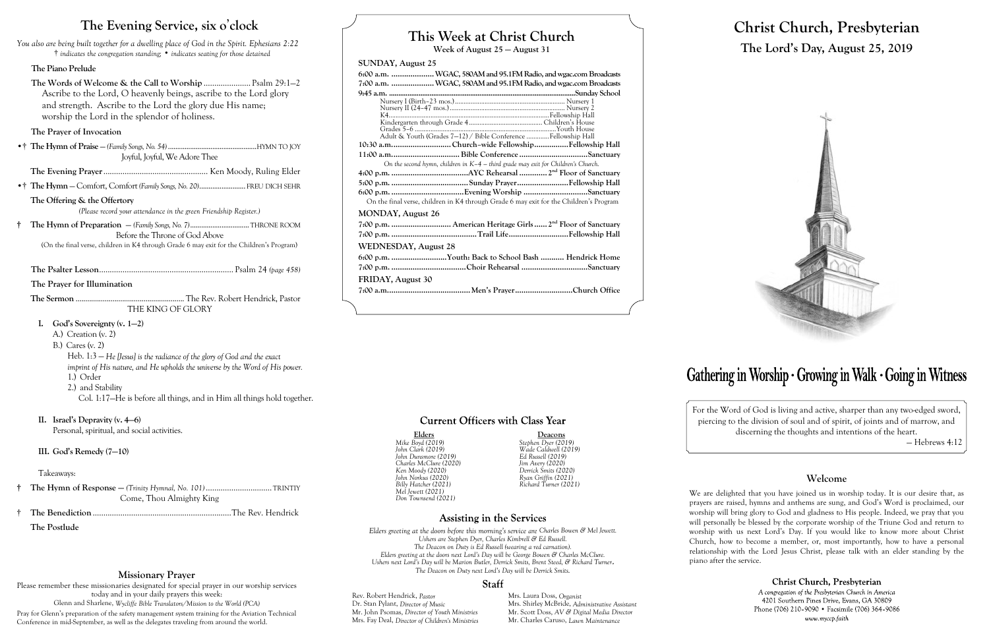# **This Week at Christ Church**

**Week of August 25 — August 31**

### **SUNDAY, August 25**

| 6:00 a.m.  WGAC, 580AM and 95.1FM Radio, and wgac.com Broadcasts                       |
|----------------------------------------------------------------------------------------|
| 7:00 a.m.  WGAC, 580AM and 95.1FM Radio, and wgac.com Broadcasts                       |
|                                                                                        |
|                                                                                        |
|                                                                                        |
|                                                                                        |
|                                                                                        |
| Adult & Youth (Grades 7-12) / Bible Conference Fellowship Hall                         |
| 10:30 a.mChurch-wide FellowshipFellowship Hall                                         |
|                                                                                        |
| On the second hymn, children in $K-4$ – third grade may exit for Children's Church.    |
|                                                                                        |
|                                                                                        |
|                                                                                        |
| On the final verse, children in K4 through Grade 6 may exit for the Children's Program |
| <b>MONDAY, August 26</b>                                                               |
|                                                                                        |
|                                                                                        |
| <b>WEDNESDAY, August 28</b>                                                            |
|                                                                                        |
| 6:00 p.m. Youth: Back to School Bash  Hendrick Home                                    |
|                                                                                        |
| FRIDAY, August 30                                                                      |
|                                                                                        |
|                                                                                        |

### **Current Officers with Class Year**

Rev. Robert Hendrick, *Pastor* Mrs. Laura Doss, *Organist*<br>Dr. Stan Pylant, *Director of Music* Mrs. Shirley McBride, *Adm* Mrs. Shirley McBride, *Administrative Assistant* Mr. Scott Doss, *AV & Digital Media Director* Mr. John Psomas, *Director of Youth Ministries* Mrs. Fay Deal, *Director of Children's Ministries* Mr. Charles Caruso, *Lawn Maintenance*

**Elders Deacons** *Billy Hatcher (2021) Richard Turner (2021)*

### **Assisting in the Services**

### *Mike Boyd (2019) Stephen Dyer (2019) John Clark (2019) Wade Caldwell (2019) John Dunsmore (2019) Ed Russell (2019) Charles McClure (2020) Jim Avery (2020) Ken Moody (2020) Derrick Smits (2020) John Norkus (2020) Ryan Griffin (2021) Mel Jewett (2021) Don Townsend (2021)*

*Elders greeting at the doors before this morning's service are Charles Bowen & Mel Jewett. Ushers are Stephen Dyer, Charles Kimbrell & Ed Russell. The Deacon on Duty is Ed Russell (wearing a red carnation). Elders greeting at the doors next Lord's Day will be George Bowen & Charles McClure. Ushers next Lord's Day will be Marion Butler, Derrick Smits, Brent Steed, & Richard Turner***.** *The Deacon on Duty next Lord's Day will be Derrick Smits.*

### Staff

# **Christ Church, Presbyterian The Lord's Day, August 25, 2019**



# Gathering in Worship · Growing in Walk · Going in Witness

For the Word of God is living and active, sharper than any two-edged sword, piercing to the division of soul and of spirit, of joints and of marrow, and discerning the thoughts and intentions of the heart.

— Hebrews 4:12

### **Welcome**

We are delighted that you have joined us in worship today. It is our desire that, as prayers are raised, hymns and anthems are sung, and God's Word is proclaimed, our worship will bring glory to God and gladness to His people. Indeed, we pray that you will personally be blessed by the corporate worship of the Triune God and return to worship with us next Lord's Day. If you would like to know more about Christ Church, how to become a member, or, most importantly, how to have a personal relationship with the Lord Jesus Christ, please talk with an elder standing by the

> Christ Church, Presbyterian A congregation of the Presbyterian Church in America 4201 Southern Pines Drive, Evans, GA 30809 Phone (706) 210-9090 • Facsimile (706) 364-9086 www.myccp.faith

piano after the service.

## **The Evening Service, six o**'**clock**

*You also are being built together for a dwelling place of God in the Spirit. Ephesians 2:22* † *indicates the congregation standing;* • *indicates seating for those detained*

### **The Piano Prelude**

**The Words of Welcome & the Call to Worship** ...................... Psalm 29:1—2 Ascribe to the Lord, O heavenly beings, ascribe to the Lord glory and strength. Ascribe to the Lord the glory due His name; worship the Lord in the splendor of holiness.

### **The Prayer of Invocation**

•† **The Hymn of Praise** — *(Family Songs, No. 54)* ................................................HYMN TO JOY Joyful, Joyful, We Adore Thee

**The Evening Prayer**................................................. Ken Moody, Ruling Elder

•† **The Hymn** — Comfort, Comfort *(Family Songs, No. 20)*......................... FREU DICH SEHR

### **The Offering & the Offertory**

*(Please record your attendance in the green Friendship Register.)*

**† The Hymn of Preparation** — *(Family Songs, No. 7)*................................THRONE ROOM Before the Throne of God Above

(On the final verse, children in K4 through Grade 6 may exit for the Children's Program)

**The Psalter Lesson**............................................................... Psalm 24 *(page 458)*

**The Prayer for Illumination**

**The Sermon** ........................................................ The Rev. Robert Hendrick, Pastor THE KING OF GLORY

- **I. God's Sovereignty (v. 1—2)**
	- A.) Creation (v. 2)
	- B.) Cares (v. 2)

Heb. 1:3 — *He [Jesus] is the radiance of the glory of God and the exact imprint of His nature, and He upholds the universe by the Word of His power.* 1.) Order

- 2.) and Stability
	- Col. 1:17—He is before all things, and in Him all things hold together.
- **II. Israel's Depravity (v. 4—6)**

Personal, spiritual, and social activities.

### **III. God's Remedy (7—10)**

### Takeaways:

- **† The Hymn of Response —** *(Trinity Hymnal, No. 101)* ...............................TRINTIY Come, Thou Almighty King
- † **The Benediction** .................................................................The Rev. Hendrick

**The Postlude**

### **Missionary Prayer**

Please remember these missionaries designated for special prayer in our worship services today and in your daily prayers this week: Glenn and Sharlene, *Wycliffe Bible Translators/Mission to the World (PCA)* Pray for Glenn's preparation of the safety management system training for the Aviation Technical Conference in mid-September, as well as the delegates traveling from around the world.